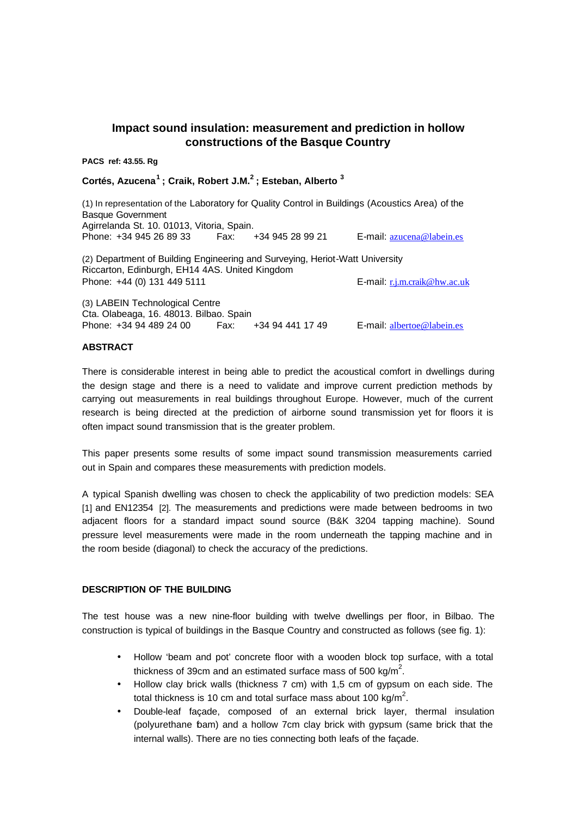# **Impact sound insulation: measurement and prediction in hollow constructions of the Basque Country**

**PACS ref: 43.55. Rg**

**Cortés, Azucena<sup>1</sup>; Craik, Robert J.M.<sup>2</sup>; Esteban, Alberto <sup>3</sup>**

(1) In representation of the Laboratory for Quality Control in Buildings (Acoustics Area) of the Basque Government Agirrelanda St. 10. 01013, Vitoria, Spain. Phone: +34 945 26 89 33 Fax: +34 945 28 99 21 E-mail: azucena@labein.es (2) Department of Building Engineering and Surveying, Heriot-Watt University Riccarton, Edinburgh, EH14 4AS. United Kingdom Phone: +44 (0) 131 449 5111 **E-mail:** r.j.m.craik@hw.ac.uk (3) LABEIN Technological Centre Cta. Olabeaga, 16. 48013. Bilbao. Spain Phone: +34 94 489 24 00 Fax: +34 94 441 17 49 E-mail: albertoe@labein.es

## **ABSTRACT**

There is considerable interest in being able to predict the acoustical comfort in dwellings during the design stage and there is a need to validate and improve current prediction methods by carrying out measurements in real buildings throughout Europe. However, much of the current research is being directed at the prediction of airborne sound transmission yet for floors it is often impact sound transmission that is the greater problem.

This paper presents some results of some impact sound transmission measurements carried out in Spain and compares these measurements with prediction models.

A typical Spanish dwelling was chosen to check the applicability of two prediction models: SEA [1] and EN12354 [2]. The measurements and predictions were made between bedrooms in two adjacent floors for a standard impact sound source (B&K 3204 tapping machine). Sound pressure level measurements were made in the room underneath the tapping machine and in the room beside (diagonal) to check the accuracy of the predictions.

## **DESCRIPTION OF THE BUILDING**

The test house was a new nine-floor building with twelve dwellings per floor, in Bilbao. The construction is typical of buildings in the Basque Country and constructed as follows (see fig. 1):

- Hollow 'beam and pot' concrete floor with a wooden block top surface, with a total thickness of 39cm and an estimated surface mass of 500 kg/m<sup>2</sup>.
- Hollow clay brick walls (thickness 7 cm) with 1,5 cm of gypsum on each side. The total thickness is 10 cm and total surface mass about 100 kg/m<sup>2</sup>.
- Double-leaf façade, composed of an external brick layer, thermal insulation (polyurethane foam) and a hollow 7cm clay brick with gypsum (same brick that the internal walls). There are no ties connecting both leafs of the façade.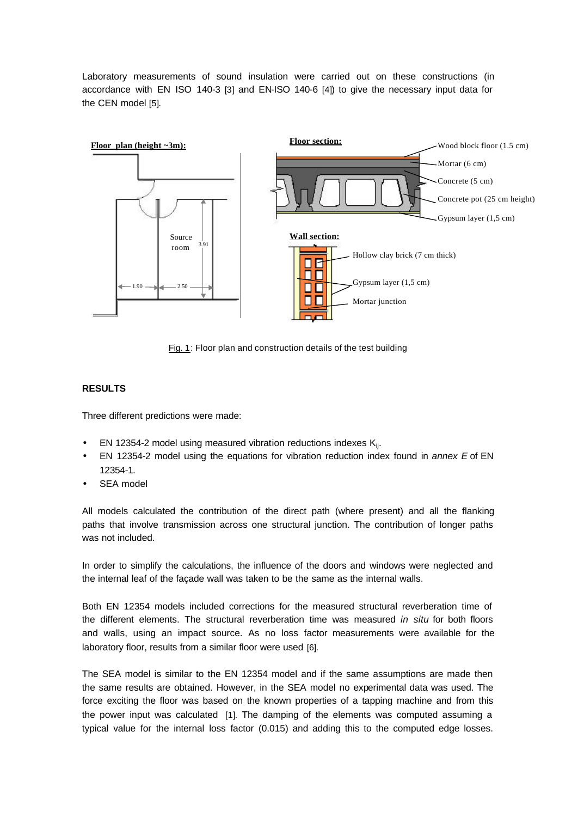Laboratory measurements of sound insulation were carried out on these constructions (in accordance with EN ISO 140-3 [3] and EN-ISO 140-6 [4]) to give the necessary input data for the CEN model [5].



Fig. 1: Floor plan and construction details of the test building

## **RESULTS**

Three different predictions were made:

- EN 12354-2 model using measured vibration reductions indexes  $K_{ij}$ .
- EN 12354-2 model using the equations for vibration reduction index found in *annex E* of EN 12354-1.
- SEA model

All models calculated the contribution of the direct path (where present) and all the flanking paths that involve transmission across one structural junction. The contribution of longer paths was not included.

In order to simplify the calculations, the influence of the doors and windows were neglected and the internal leaf of the façade wall was taken to be the same as the internal walls.

Both EN 12354 models included corrections for the measured structural reverberation time of the different elements. The structural reverberation time was measured *in situ* for both floors and walls, using an impact source. As no loss factor measurements were available for the laboratory floor, results from a similar floor were used [6].

The SEA model is similar to the EN 12354 model and if the same assumptions are made then the same results are obtained. However, in the SEA model no experimental data was used. The force exciting the floor was based on the known properties of a tapping machine and from this the power input was calculated [1]. The damping of the elements was computed assuming a typical value for the internal loss factor (0.015) and adding this to the computed edge losses.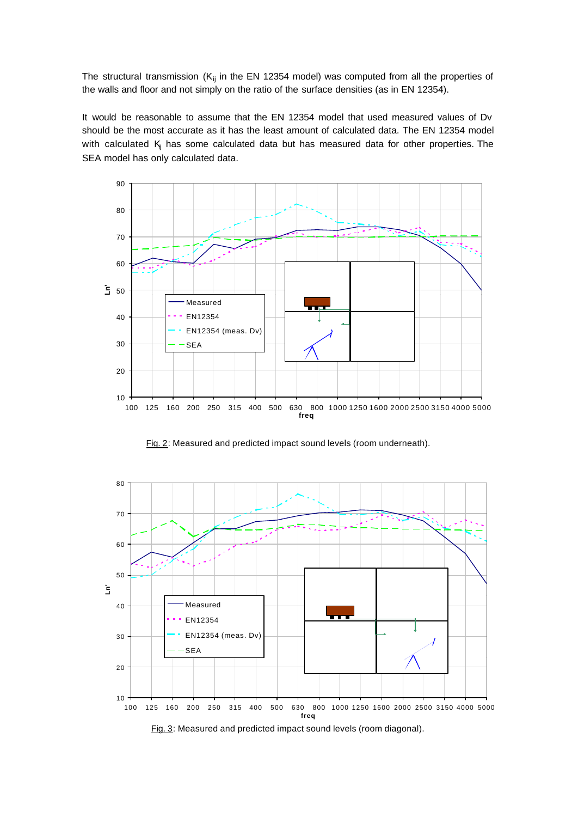The structural transmission ( $K_{ij}$  in the EN 12354 model) was computed from all the properties of the walls and floor and not simply on the ratio of the surface densities (as in EN 12354).

It would be reasonable to assume that the EN 12354 model that used measured values of Dv should be the most accurate as it has the least amount of calculated data. The EN 12354 model with calculated  $K_i$  has some calculated data but has measured data for other properties. The SEA model has only calculated data.



Fig. 2: Measured and predicted impact sound levels (room underneath).

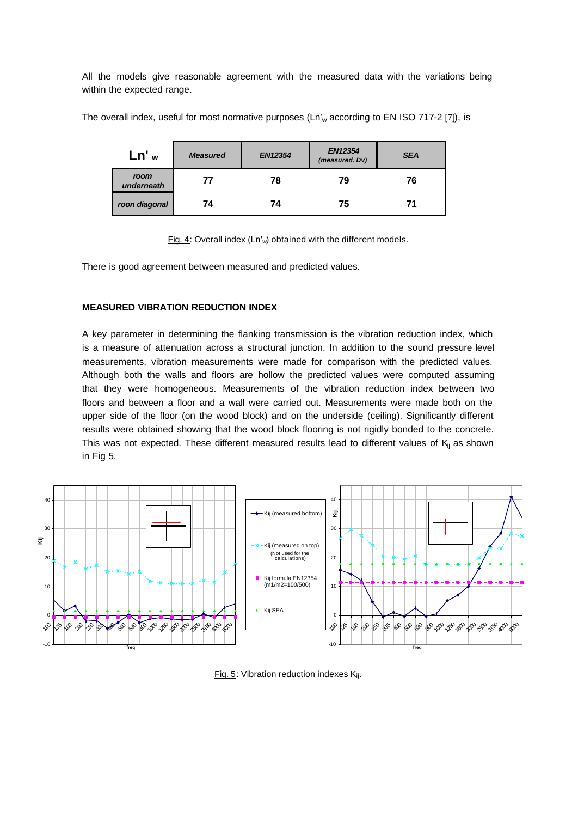All the models give reasonable agreement with the measured data with the variations being within the expected range.

| Ln' <sub>w</sub>   | <b>Measured</b> | <b>EN12354</b> | <b>EN12354</b><br>(measured. Dv) | <b>SEA</b> |
|--------------------|-----------------|----------------|----------------------------------|------------|
| room<br>underneath | 77              | 78             | 79                               | 76         |
| roon diagonal      | 74              | 74             | 75                               |            |

The overall index, useful for most normative purposes (Ln'<sub>w</sub> according to EN ISO 717-2 [7]), is

Fig. 4: Overall index  $(Ln'_{w})$  obtained with the different models.

There is good agreement between measured and predicted values.

### **MEASURED VIBRATION REDUCTION INDEX**

A key parameter in determining the flanking transmission is the vibration reduction index, which is a measure of attenuation across a structural junction. In addition to the sound pressure level measurements, vibration measurements were made for comparison with the predicted values. Although both the walls and floors are hollow the predicted values were computed assuming that they were homogeneous. Measurements of the vibration reduction index between two floors and between a floor and a wall were carried out. Measurements were made both on the upper side of the floor (on the wood block) and on the underside (ceiling). Significantly different results were obtained showing that the wood block flooring is not rigidly bonded to the concrete. This was not expected. These different measured results lead to different values of  $K_{ii}$  as shown in Fig 5.



Fig. 5: Vibration reduction indexes K<sub>ij</sub>.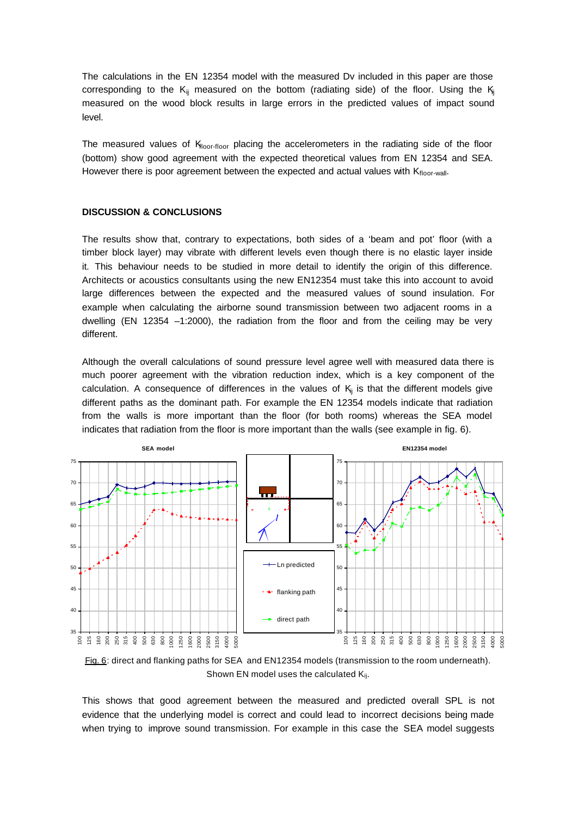The calculations in the EN 12354 model with the measured Dv included in this paper are those corresponding to the K<sub>ij</sub> measured on the bottom (radiating side) of the floor. Using the K<sub>ij</sub> measured on the wood block results in large errors in the predicted values of impact sound level.

The measured values of  $K_{\text{floor-flow}}$  placing the accelerometers in the radiating side of the floor (bottom) show good agreement with the expected theoretical values from EN 12354 and SEA. However there is poor agreement between the expected and actual values with  $K_{\text{floor-wall}}$ .

#### **DISCUSSION & CONCLUSIONS**

The results show that, contrary to expectations, both sides of a 'beam and pot' floor (with a timber block layer) may vibrate with different levels even though there is no elastic layer inside it. This behaviour needs to be studied in more detail to identify the origin of this difference. Architects or acoustics consultants using the new EN12354 must take this into account to avoid large differences between the expected and the measured values of sound insulation. For example when calculating the airborne sound transmission between two adjacent rooms in a dwelling (EN 12354 –1:2000), the radiation from the floor and from the ceiling may be very different.

Although the overall calculations of sound pressure level agree well with measured data there is much poorer agreement with the vibration reduction index, which is a key component of the calculation. A consequence of differences in the values of  $K<sub>i</sub>$  is that the different models give different paths as the dominant path. For example the EN 12354 models indicate that radiation from the walls is more important than the floor (for both rooms) whereas the SEA model indicates that radiation from the floor is more important than the walls (see example in fig. 6).



Fig. 6: direct and flanking paths for SEA and EN12354 models (transmission to the room underneath). Shown EN model uses the calculated K<sub>ij</sub>.

This shows that good agreement between the measured and predicted overall SPL is not evidence that the underlying model is correct and could lead to incorrect decisions being made when trying to improve sound transmission. For example in this case the SEA model suggests